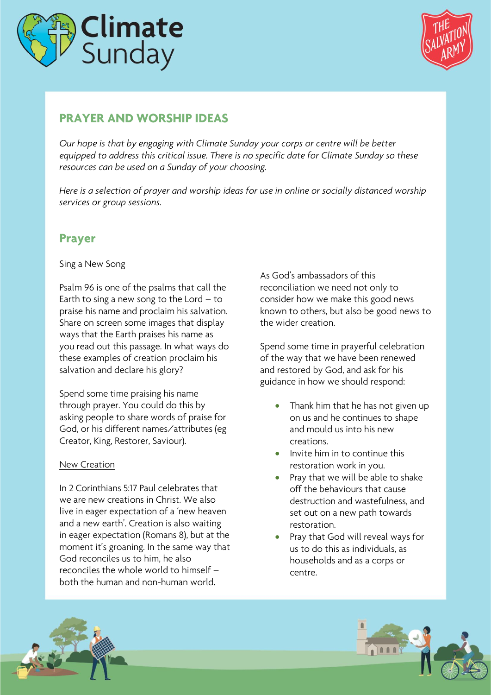



# **PRAYER AND WORSHIP IDEAS**

*Our hope is that by engaging with Climate Sunday your corps or centre will be better equipped to address this critical issue. There is no specific date for Climate Sunday so these resources can be used on a Sunday of your choosing.* 

*Here is a selection of prayer and worship ideas for use in online or socially distanced worship services or group sessions.*

# **Prayer**

## Sing a New Song

Psalm 96 is one of the psalms that call the Earth to sing a new song to the Lord  $-$  to praise his name and proclaim his salvation. Share on screen some images that display ways that the Earth praises his name as you read out this passage. In what ways do these examples of creation proclaim his salvation and declare his glory?

Spend some time praising his name through prayer. You could do this by asking people to share words of praise for God, or his different names/attributes (eg Creator, King, Restorer, Saviour).

## New Creation

In 2 Corinthians 5:17 Paul celebrates that we are new creations in Christ. We also live in eager expectation of a 'new heaven and a new earth'. Creation is also waiting in eager expectation (Romans 8), but at the moment it's groaning. In the same way that God reconciles us to him, he also reconciles the whole world to himself – both the human and non-human world.

As God's ambassadors of this reconciliation we need not only to consider how we make this good news known to others, but also be good news to the wider creation.

Spend some time in prayerful celebration of the way that we have been renewed and restored by God, and ask for his guidance in how we should respond:

- Thank him that he has not given up on us and he continues to shape and mould us into his new creations.
- Invite him in to continue this restoration work in you.
- Pray that we will be able to shake off the behaviours that cause destruction and wastefulness, and set out on a new path towards restoration.
- Pray that God will reveal ways for us to do this as individuals, as households and as a corps or centre.



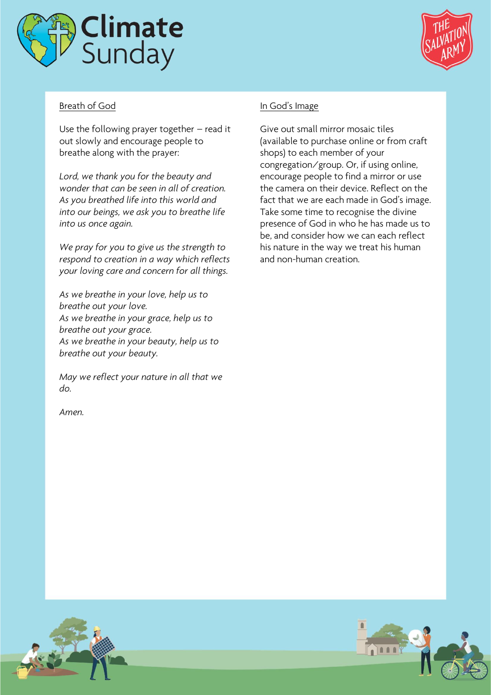



# Breath of God

Use the following prayer together – read it out slowly and encourage people to breathe along with the prayer:

*Lord, we thank you for the beauty and wonder that can be seen in all of creation. As you breathed life into this world and into our beings, we ask you to breathe life into us once again.*

*We pray for you to give us the strength to respond to creation in a way which reflects your loving care and concern for all things.*

*As we breathe in your love, help us to breathe out your love. As we breathe in your grace, help us to breathe out your grace. As we breathe in your beauty, help us to breathe out your beauty.*

*May we reflect your nature in all that we do.*

*Amen.*

# In God's Image

Give out small mirror mosaic tiles (available to purchase online or from craft shops) to each member of your congregation/group. Or, if using online, encourage people to find a mirror or use the camera on their device. Reflect on the fact that we are each made in God's image. Take some time to recognise the divine presence of God in who he has made us to be, and consider how we can each reflect his nature in the way we treat his human and non-human creation.

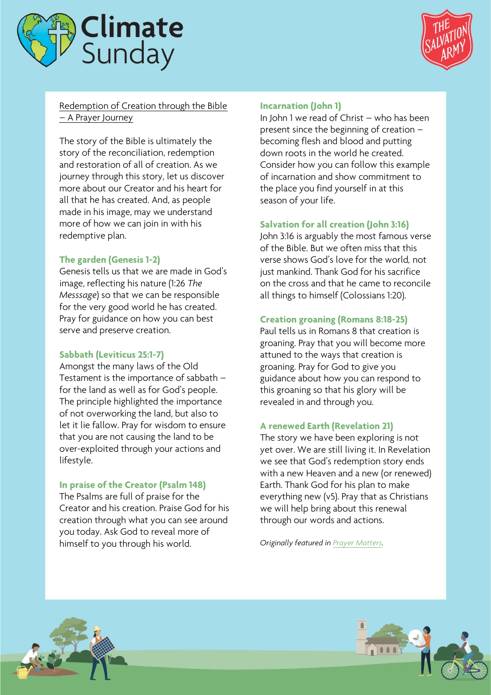



Redemption of Creation through the Bible – A Prayer Journey

The story of the Bible is ultimately the story of the reconciliation, redemption and restoration of all of creation. As we journey through this story, let us discover more about our Creator and his heart for all that he has created. And, as people made in his image, may we understand more of how we can join in with his redemptive plan.

# **The garden (Genesis 1-2)**

Genesis tells us that we are made in God's image, reflecting his nature (1:26 *The Messsage*) so that we can be responsible for the very good world he has created. Pray for guidance on how you can best serve and preserve creation.

## **Sabbath (Leviticus 25:1-7)**

Amongst the many laws of the Old Testament is the importance of sabbath – for the land as well as for God's people. The principle highlighted the importance of not overworking the land, but also to let it lie fallow. Pray for wisdom to ensure that you are not causing the land to be over-exploited through your actions and lifestyle.

### **In praise of the Creator (Psalm 148)**

The Psalms are full of praise for the Creator and his creation. Praise God for his creation through what you can see around you today. Ask God to reveal more of himself to you through his world.

#### **Incarnation (John 1)**

In John 1 we read of Christ – who has been present since the beginning of creation – becoming flesh and blood and putting down roots in the world he created. Consider how you can follow this example of incarnation and show commitment to the place you find yourself in at this season of your life.

### **Salvation for all creation (John 3:16)**

John 3:16 is arguably the most famous verse of the Bible. But we often miss that this verse shows God's love for the world*,* not just mankind. Thank God for his sacrifice on the cross and that he came to reconcile all things to himself (Colossians 1:20).

### **Creation groaning (Romans 8:18-25)**

Paul tells us in Romans 8 that creation is groaning. Pray that you will become more attuned to the ways that creation is groaning. Pray for God to give you guidance about how you can respond to this groaning so that his glory will be revealed in and through you.

## **A renewed Earth (Revelation 21)**

The story we have been exploring is not yet over. We are still living it. In Revelation we see that God's redemption story ends with a new Heaven and a new (or renewed) Earth. Thank God for his plan to make everything new (v5). Pray that as Christians we will help bring about this renewal through our words and actions.

*Originally featured i[n Prayer Matters.](https://www.salvationarmy.org.uk/resources/worship-resources/prayer-matters)*



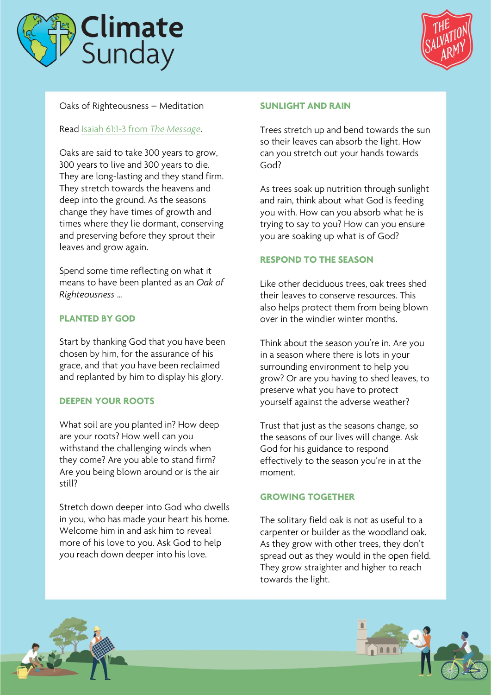



# Oaks of Righteousness – Meditation

### Read [Isaiah 61:1-3 from](https://www.biblestudytools.com/msg/isaiah/passage/?q=isaiah+61:1-3) *The Message*.

Oaks are said to take 300 years to grow, 300 years to live and 300 years to die. They are long-lasting and they stand firm. They stretch towards the heavens and deep into the ground. As the seasons change they have times of growth and times where they lie dormant, conserving and preserving before they sprout their leaves and grow again.

Spend some time reflecting on what it means to have been planted as an *Oak of Righteousness* …

# **PLANTED BY GOD**

Start by thanking God that you have been chosen by him, for the assurance of his grace, and that you have been reclaimed and replanted by him to display his glory.

## **DEEPEN YOUR ROOTS**

What soil are you planted in? How deep are your roots? How well can you withstand the challenging winds when they come? Are you able to stand firm? Are you being blown around or is the air still?

Stretch down deeper into God who dwells in you, who has made your heart his home. Welcome him in and ask him to reveal more of his love to you. Ask God to help you reach down deeper into his love.

#### **SUNLIGHT AND RAIN**

Trees stretch up and bend towards the sun so their leaves can absorb the light. How can you stretch out your hands towards God?

As trees soak up nutrition through sunlight and rain, think about what God is feeding you with. How can you absorb what he is trying to say to you? How can you ensure you are soaking up what is of God?

## **RESPOND TO THE SEASON**

Like other deciduous trees, oak trees shed their leaves to conserve resources. This also helps protect them from being blown over in the windier winter months.

Think about the season you're in. Are you in a season where there is lots in your surrounding environment to help you grow? Or are you having to shed leaves, to preserve what you have to protect yourself against the adverse weather?

Trust that just as the seasons change, so the seasons of our lives will change. Ask God for his guidance to respond effectively to the season you're in at the moment.

### **GROWING TOGETHER**

The solitary field oak is not as useful to a carpenter or builder as the woodland oak. As they grow with other trees, they don't spread out as they would in the open field. They grow straighter and higher to reach towards the light.



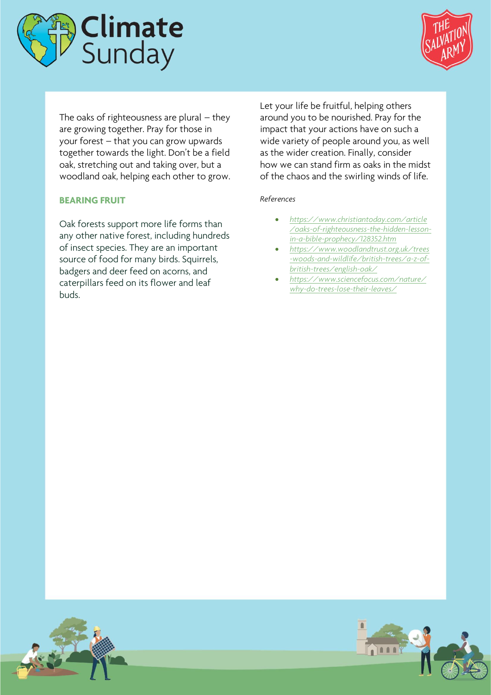



The oaks of righteousness are plural  $-$  they are growing together. Pray for those in your forest – that you can grow upwards together towards the light. Don't be a field oak, stretching out and taking over, but a woodland oak, helping each other to grow.

### **BEARING FRUIT**

Oak forests support more life forms than any other native forest, including hundreds of insect species. They are an important source of food for many birds. Squirrels, badgers and deer feed on acorns, and caterpillars feed on its flower and leaf buds.

Let your life be fruitful, helping others around you to be nourished. Pray for the impact that your actions have on such a wide variety of people around you, as well as the wider creation. Finally, consider how we can stand firm as oaks in the midst of the chaos and the swirling winds of life.

#### *References*

- *[https://www.christiantoday.com/article](https://www.christiantoday.com/article/oaks-of-righteousness-the-hidden-lesson-in-a-bible-prophecy/128352.htm) [/oaks-of-righteousness-the-hidden-lesson](https://www.christiantoday.com/article/oaks-of-righteousness-the-hidden-lesson-in-a-bible-prophecy/128352.htm)[in-a-bible-prophecy/128352.htm](https://www.christiantoday.com/article/oaks-of-righteousness-the-hidden-lesson-in-a-bible-prophecy/128352.htm)*
- *[https://www.woodlandtrust.org.uk/trees](https://www.woodlandtrust.org.uk/trees-woods-and-wildlife/british-trees/a-z-of-british-trees/english-oak/) [-woods-and-wildlife/british-trees/a-z-of](https://www.woodlandtrust.org.uk/trees-woods-and-wildlife/british-trees/a-z-of-british-trees/english-oak/)[british-trees/english-oak/](https://www.woodlandtrust.org.uk/trees-woods-and-wildlife/british-trees/a-z-of-british-trees/english-oak/)*
- *[https://www.sciencefocus.com/nature/](https://www.sciencefocus.com/nature/why-do-trees-lose-their-leaves/) [why-do-trees-lose-their-leaves/](https://www.sciencefocus.com/nature/why-do-trees-lose-their-leaves/)*



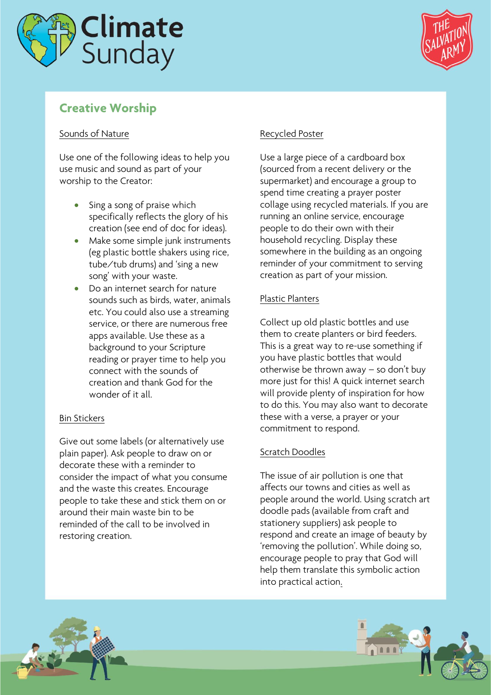



# **Creative Worship**

# Sounds of Nature

Use one of the following ideas to help you use music and sound as part of your worship to the Creator:

- Sing a song of praise which specifically reflects the glory of his creation (see end of doc for ideas).
- Make some simple junk instruments (eg plastic bottle shakers using rice, tube/tub drums) and 'sing a new song' with your waste.
- Do an internet search for nature sounds such as birds, water, animals etc. You could also use a streaming service, or there are numerous free apps available. Use these as a background to your Scripture reading or prayer time to help you connect with the sounds of creation and thank God for the wonder of it all

# Bin Stickers

Give out some labels (or alternatively use plain paper). Ask people to draw on or decorate these with a reminder to consider the impact of what you consume and the waste this creates. Encourage people to take these and stick them on or around their main waste bin to be reminded of the call to be involved in restoring creation.

# Recycled Poster

Use a large piece of a cardboard box (sourced from a recent delivery or the supermarket) and encourage a group to spend time creating a prayer poster collage using recycled materials. If you are running an online service, encourage people to do their own with their household recycling. Display these somewhere in the building as an ongoing reminder of your commitment to serving creation as part of your mission.

# Plastic Planters

Collect up old plastic bottles and use them to create planters or bird feeders. This is a great way to re-use something if you have plastic bottles that would otherwise be thrown away – so don't buy more just for this! A quick internet search will provide plenty of inspiration for how to do this. You may also want to decorate these with a verse, a prayer or your commitment to respond.

# Scratch Doodles

The issue of air pollution is one that affects our towns and cities as well as people around the world. Using scratch art doodle pads (available from craft and stationery suppliers) ask people to respond and create an image of beauty by 'removing the pollution'. While doing so, encourage people to pray that God will help them translate this symbolic action into practical action.

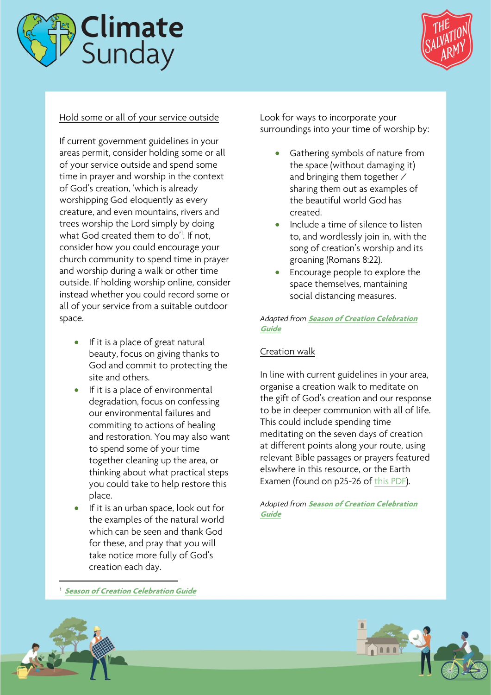



# Hold some or all of your service outside

If current government guidelines in your areas permit, consider holding some or all of your service outside and spend some time in prayer and worship in the context of God's creation, 'which is already worshipping God eloquently as every creature, and even mountains, rivers and trees worship the Lord simply by doing what God created them to do'<sup>1</sup>. If not, consider how you could encourage your church community to spend time in prayer and worship during a walk or other time outside. If holding worship online, consider instead whether you could record some or all of your service from a suitable outdoor space.

- If it is a place of great natural beauty, focus on giving thanks to God and commit to protecting the site and others.
- If it is a place of environmental degradation, focus on confessing our environmental failures and commiting to actions of healing and restoration. You may also want to spend some of your time together cleaning up the area, or thinking about what practical steps you could take to help restore this place.
- If it is an urban space, look out for the examples of the natural world which can be seen and thank God for these, and pray that you will take notice more fully of God's creation each day.

Look for ways to incorporate your surroundings into your time of worship by:

- Gathering symbols of nature from the space (without damaging it) and bringing them together / sharing them out as examples of the beautiful world God has created.
- Include a time of silence to listen to, and wordlessly join in, with the song of creation's worship and its groaning (Romans 8:22).
- Encourage people to explore the space themselves, mantaining social distancing measures.

### *Adapted from* **[Season of Creation Celebration](https://static1.squarespace.com/static/5e68d5ca63d39d027e96798a/t/5f3255bcab674a1da69d507d/1597134282159/Season+of+Creation+2020+Guide+English.pdf)  [Guide](https://static1.squarespace.com/static/5e68d5ca63d39d027e96798a/t/5f3255bcab674a1da69d507d/1597134282159/Season+of+Creation+2020+Guide+English.pdf)**

## Creation walk

In line with current guidelines in your area, organise a creation walk to meditate on the gift of God's creation and our response to be in deeper communion with all of life. This could include spending time meditating on the seven days of creation at different points along your route, using relevant Bible passages or prayers featured elswhere in this resource, or the Earth Examen (found on p25-26 of [this PDF\)](https://static1.squarespace.com/static/5e68d5ca63d39d027e96798a/t/5f3255bcab674a1da69d507d/1597134282159/Season+of+Creation+2020+Guide+English.pdf).

*Adapted from* **[Season of Creation Celebration](https://static1.squarespace.com/static/5e68d5ca63d39d027e96798a/t/5f3255bcab674a1da69d507d/1597134282159/Season+of+Creation+2020+Guide+English.pdf)  [Guide](https://static1.squarespace.com/static/5e68d5ca63d39d027e96798a/t/5f3255bcab674a1da69d507d/1597134282159/Season+of+Creation+2020+Guide+English.pdf)**

1 **[Season of Creation Celebration Guide](https://static1.squarespace.com/static/5e68d5ca63d39d027e96798a/t/5f3255bcab674a1da69d507d/1597134282159/Season+of+Creation+2020+Guide+English.pdf)**



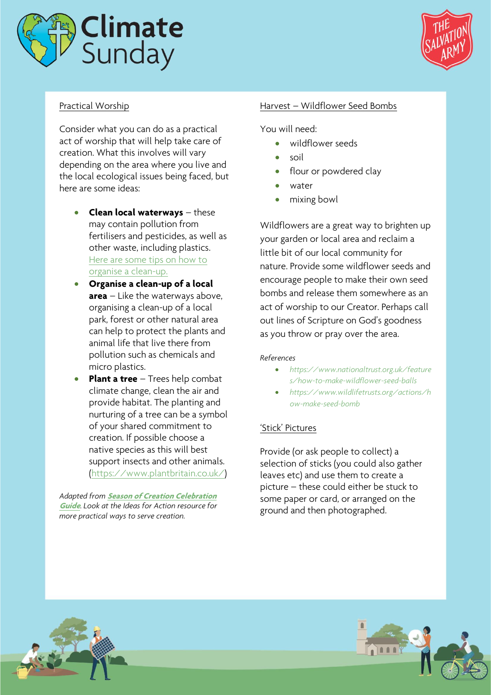



# Practical Worship

Consider what you can do as a practical act of worship that will help take care of creation. What this involves will vary depending on the area where you live and the local ecological issues being faced, but here are some ideas:

- **Clean local waterways** these may contain pollution from fertilisers and pesticides, as well as other waste, including plastics. [Here are some tips on how to](https://oceanconservancy.org/trash-free-seas/international-coastal-cleanup/start-a-cleanup/)  [organise a clean-up.](https://oceanconservancy.org/trash-free-seas/international-coastal-cleanup/start-a-cleanup/)
- **Organise a clean-up of a local area** – Like the waterways above, organising a clean-up of a local park, forest or other natural area can help to protect the plants and animal life that live there from pollution such as chemicals and micro plastics.
- **Plant a tree** Trees help combat climate change, clean the air and provide habitat. The planting and nurturing of a tree can be a symbol of your shared commitment to creation. If possible choose a native species as this will best support insects and other animals. [\(https://www.plantbritain.co.uk/\)](https://www.plantbritain.co.uk/)

*Adapted from* **[Season of Creation Celebration](https://static1.squarespace.com/static/5e68d5ca63d39d027e96798a/t/5f3255bcab674a1da69d507d/1597134282159/Season+of+Creation+2020+Guide+English.pdf)  [Guide](https://static1.squarespace.com/static/5e68d5ca63d39d027e96798a/t/5f3255bcab674a1da69d507d/1597134282159/Season+of+Creation+2020+Guide+English.pdf)**. *Look at the Ideas for Action resource for more practical ways to serve creation.*

### Harvest – Wildflower Seed Bombs

You will need:

- wildflower seeds
- soil
- flour or powdered clay
- water
- mixing bowl

Wildflowers are a great way to brighten up your garden or local area and reclaim a little bit of our local community for nature. Provide some wildflower seeds and encourage people to make their own seed bombs and release them somewhere as an act of worship to our Creator. Perhaps call out lines of Scripture on God's goodness as you throw or pray over the area.

#### *References*

- *[https://www.nationaltrust.org.uk/feature](https://www.nationaltrust.org.uk/features/how-to-make-wildflower-seed-balls) [s/how-to-make-wildflower-seed-balls](https://www.nationaltrust.org.uk/features/how-to-make-wildflower-seed-balls)*
- *[https://www.wildlifetrusts.org/actions/h](https://www.wildlifetrusts.org/actions/how-make-seed-bomb) [ow-make-seed-bomb](https://www.wildlifetrusts.org/actions/how-make-seed-bomb)*

### 'Stick' Pictures

Provide (or ask people to collect) a selection of sticks (you could also gather leaves etc) and use them to create a picture – these could either be stuck to some paper or card, or arranged on the ground and then photographed.



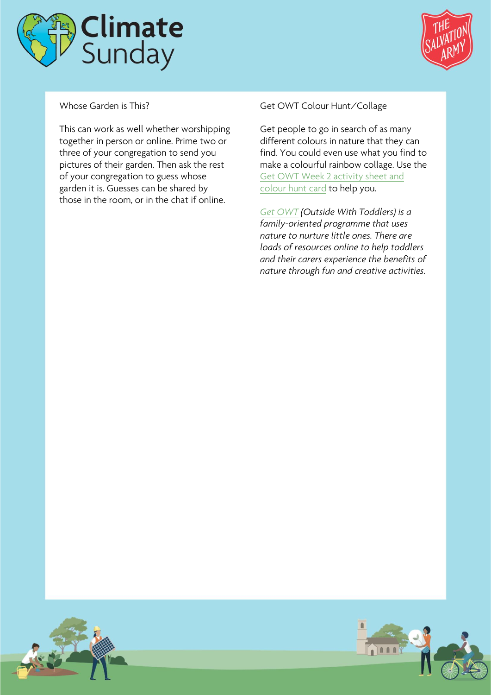



# Whose Garden is This?

This can work as well whether worshipping together in person or online. Prime two or three of your congregation to send you pictures of their garden. Then ask the rest of your congregation to guess whose garden it is. Guesses can be shared by those in the room, or in the chat if online.

## Get OWT Colour Hunt/Collage

Get people to go in search of as many different colours in nature that they can find. You could even use what you find to make a colourful rainbow collage. Use the [Get OWT Week 2 activity sheet and](https://www.salvationarmy.org.uk/resources/get-owt)  [colour hunt card](https://www.salvationarmy.org.uk/resources/get-owt) to help you.

*[Get OWT](https://www.salvationarmy.org.uk/resources/get-owt) (Outside With Toddlers) is a family-oriented programme that uses nature to nurture little ones. There are loads of resources online to help toddlers and their carers experience the benefits of nature through fun and creative activities.*